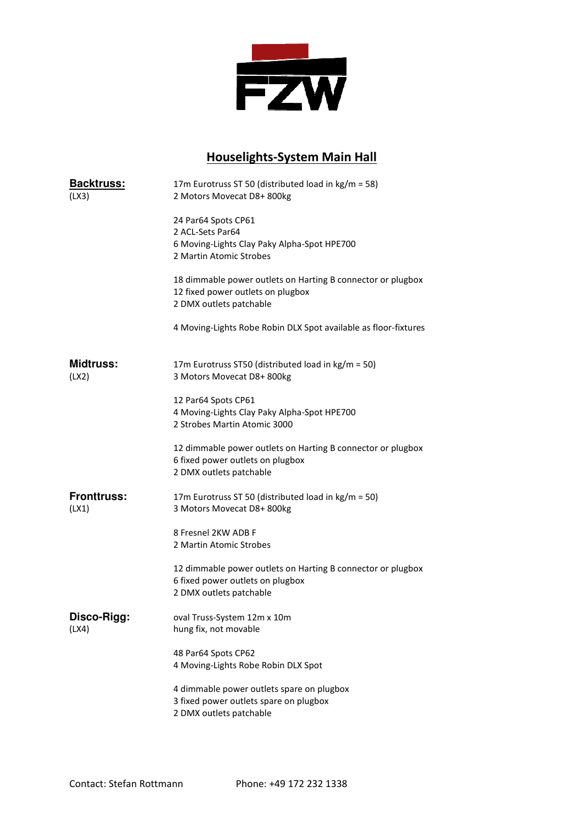

## Houselights Houselights-System Main Hall

| <b>Backtruss:</b><br>(LX3)  | 17m Eurotruss ST 50 (distributed load in kg/m = 58)<br>2 Motors Movecat D8+ 800kg                                           |
|-----------------------------|-----------------------------------------------------------------------------------------------------------------------------|
|                             | 24 Par64 Spots CP61                                                                                                         |
|                             | 2 ACL-Sets Par64                                                                                                            |
|                             | 6 Moving-Lights Clay Paky Alpha-Spot HPE700                                                                                 |
|                             | 2 Martin Atomic Strobes                                                                                                     |
|                             | 18 dimmable power outlets on Harting B connector or plugbox<br>12 fixed power outlets on plugbox<br>2 DMX outlets patchable |
|                             | 4 Moving-Lights Robe Robin DLX Spot available as floor-fixtures                                                             |
| <b>Midtruss:</b><br>(LX2)   | 17m Eurotruss ST50 (distributed load in kg/m = 50)<br>3 Motors Movecat D8+800kg                                             |
|                             | 12 Par64 Spots CP61                                                                                                         |
|                             | 4 Moving-Lights Clay Paky Alpha-Spot HPE700                                                                                 |
|                             | 2 Strobes Martin Atomic 3000                                                                                                |
|                             | 12 dimmable power outlets on Harting B connector or plugbox<br>6 fixed power outlets on plugbox<br>2 DMX outlets patchable  |
| <b>Fronttruss:</b><br>(LX1) | 17m Eurotruss ST 50 (distributed load in kg/m = 50)<br>3 Motors Movecat D8+800kg                                            |
|                             | 8 Fresnel 2KW ADB F                                                                                                         |
|                             | 2 Martin Atomic Strobes                                                                                                     |
|                             | 12 dimmable power outlets on Harting B connector or plugbox<br>6 fixed power outlets on plugbox                             |
|                             | 2 DMX outlets patchable                                                                                                     |
| Disco-Rigg:                 | oval Truss-System 12m x 10m                                                                                                 |
| (LX4)                       | hung fix, not movable                                                                                                       |
|                             | 48 Par64 Spots CP62                                                                                                         |
|                             | 4 Moving-Lights Robe Robin DLX Spot                                                                                         |
|                             | 4 dimmable power outlets spare on plugbox                                                                                   |
|                             | 3 fixed power outlets spare on plugbox                                                                                      |
|                             | 2 DMX outlets patchable                                                                                                     |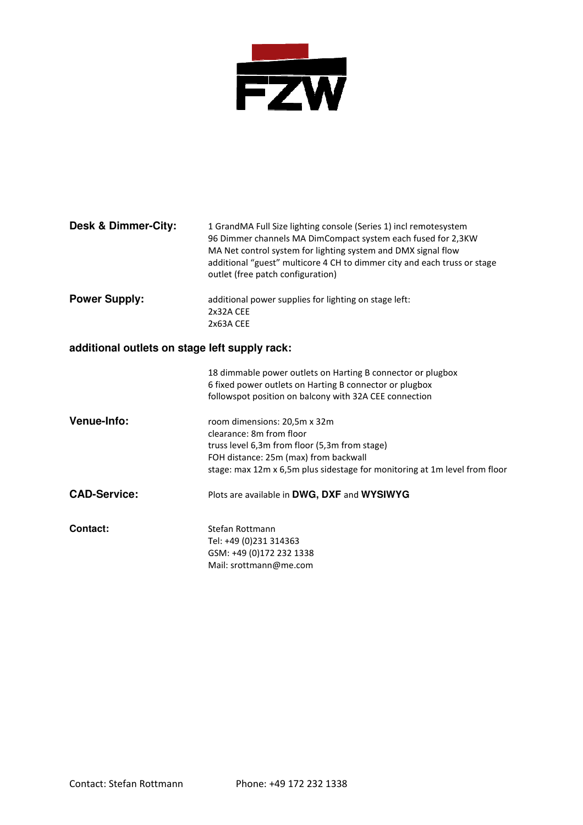

| <b>Power Supply:</b><br>additional power supplies for lighting on stage left:<br>2x32A CEE<br>2x63A CEE<br>additional outlets on stage left supply rack:<br>18 dimmable power outlets on Harting B connector or plugbox<br>6 fixed power outlets on Harting B connector or plugbox | <b>Desk &amp; Dimmer-City:</b> | 1 GrandMA Full Size lighting console (Series 1) incl remotesystem<br>96 Dimmer channels MA DimCompact system each fused for 2,3KW<br>MA Net control system for lighting system and DMX signal flow<br>additional "guest" multicore 4 CH to dimmer city and each truss or stage<br>outlet (free patch configuration) |  |
|------------------------------------------------------------------------------------------------------------------------------------------------------------------------------------------------------------------------------------------------------------------------------------|--------------------------------|---------------------------------------------------------------------------------------------------------------------------------------------------------------------------------------------------------------------------------------------------------------------------------------------------------------------|--|
|                                                                                                                                                                                                                                                                                    |                                |                                                                                                                                                                                                                                                                                                                     |  |
|                                                                                                                                                                                                                                                                                    |                                |                                                                                                                                                                                                                                                                                                                     |  |
|                                                                                                                                                                                                                                                                                    |                                | followspot position on balcony with 32A CEE connection                                                                                                                                                                                                                                                              |  |

| <b>Venue-Info:</b> | room dimensions: 20,5m x 32m                                               |
|--------------------|----------------------------------------------------------------------------|
|                    | clearance: 8m from floor                                                   |
|                    | truss level 6,3m from floor (5,3m from stage)                              |
|                    | FOH distance: 25m (max) from backwall                                      |
|                    | stage: max 12m x 6.5m plus sidestage for monitoring at 1m level from floor |
|                    |                                                                            |

- **CAD-Service:** Plots are available in **DWG, DXF** and **WYSIWYG**
- **Contact:** Stefan Rottmann Tel: +49 (0)231 314363 GSM: +49 (0)172 232 1338 Mail: srottmann@me.com